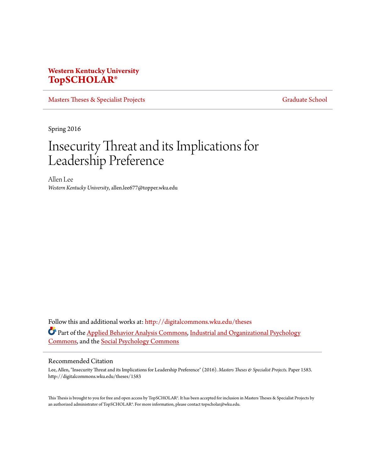# **Western Kentucky University [TopSCHOLAR®](http://digitalcommons.wku.edu?utm_source=digitalcommons.wku.edu%2Ftheses%2F1583&utm_medium=PDF&utm_campaign=PDFCoverPages)**

[Masters Theses & Specialist Projects](http://digitalcommons.wku.edu/theses?utm_source=digitalcommons.wku.edu%2Ftheses%2F1583&utm_medium=PDF&utm_campaign=PDFCoverPages) [Graduate School](http://digitalcommons.wku.edu/Graduate?utm_source=digitalcommons.wku.edu%2Ftheses%2F1583&utm_medium=PDF&utm_campaign=PDFCoverPages) Graduate School

Spring 2016

# Insecurity Threat and its Implications for Leadership Preference

Allen Lee *Western Kentucky University*, allen.lee677@topper.wku.edu

Follow this and additional works at: [http://digitalcommons.wku.edu/theses](http://digitalcommons.wku.edu/theses?utm_source=digitalcommons.wku.edu%2Ftheses%2F1583&utm_medium=PDF&utm_campaign=PDFCoverPages) Part of the [Applied Behavior Analysis Commons](http://network.bepress.com/hgg/discipline/1235?utm_source=digitalcommons.wku.edu%2Ftheses%2F1583&utm_medium=PDF&utm_campaign=PDFCoverPages), [Industrial and Organizational Psychology](http://network.bepress.com/hgg/discipline/412?utm_source=digitalcommons.wku.edu%2Ftheses%2F1583&utm_medium=PDF&utm_campaign=PDFCoverPages) [Commons,](http://network.bepress.com/hgg/discipline/412?utm_source=digitalcommons.wku.edu%2Ftheses%2F1583&utm_medium=PDF&utm_campaign=PDFCoverPages) and the [Social Psychology Commons](http://network.bepress.com/hgg/discipline/414?utm_source=digitalcommons.wku.edu%2Ftheses%2F1583&utm_medium=PDF&utm_campaign=PDFCoverPages)

#### Recommended Citation

Lee, Allen, "Insecurity Threat and its Implications for Leadership Preference" (2016). *Masters Theses & Specialist Projects.* Paper 1583. http://digitalcommons.wku.edu/theses/1583

This Thesis is brought to you for free and open access by TopSCHOLAR®. It has been accepted for inclusion in Masters Theses & Specialist Projects by an authorized administrator of TopSCHOLAR®. For more information, please contact topscholar@wku.edu.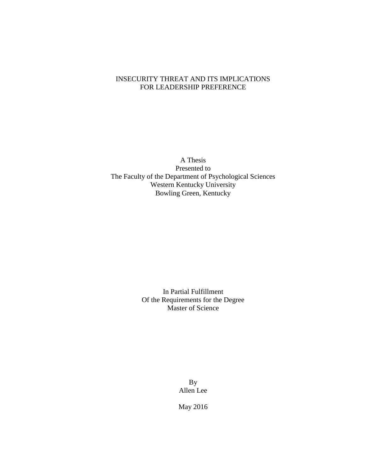# INSECURITY THREAT AND ITS IMPLICATIONS FOR LEADERSHIP PREFERENCE

A Thesis Presented to The Faculty of the Department of Psychological Sciences Western Kentucky University Bowling Green, Kentucky

> In Partial Fulfillment Of the Requirements for the Degree Master of Science

> > By Allen Lee

May 2016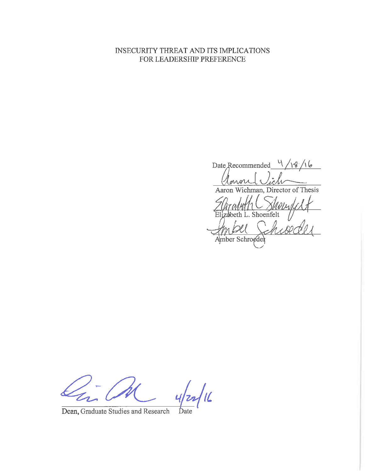# INSECURITY THREAT AND ITS IMPLICATIONS FOR LEADERSHIP PREFERENCE

Date Recommended  $\frac{4}{\sqrt{3}}$ MAR Aaron Wichman, Director of Thesis Shoenfelt beth L. Amber Schroedel

 $\frac{1}{2}$ 

Dean, Graduate Studies and Research Date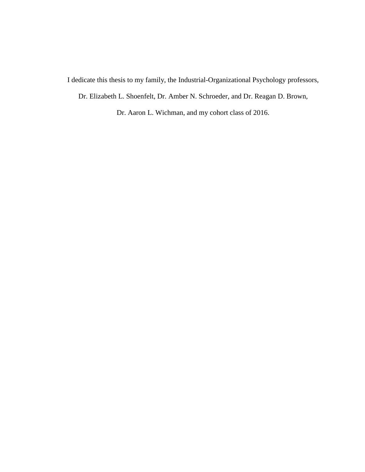I dedicate this thesis to my family, the Industrial-Organizational Psychology professors,

Dr. Elizabeth L. Shoenfelt, Dr. Amber N. Schroeder, and Dr. Reagan D. Brown,

Dr. Aaron L. Wichman, and my cohort class of 2016.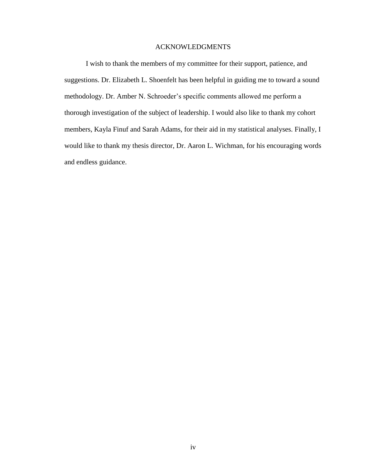### ACKNOWLEDGMENTS

I wish to thank the members of my committee for their support, patience, and suggestions. Dr. Elizabeth L. Shoenfelt has been helpful in guiding me to toward a sound methodology. Dr. Amber N. Schroeder's specific comments allowed me perform a thorough investigation of the subject of leadership. I would also like to thank my cohort members, Kayla Finuf and Sarah Adams, for their aid in my statistical analyses. Finally, I would like to thank my thesis director, Dr. Aaron L. Wichman, for his encouraging words and endless guidance.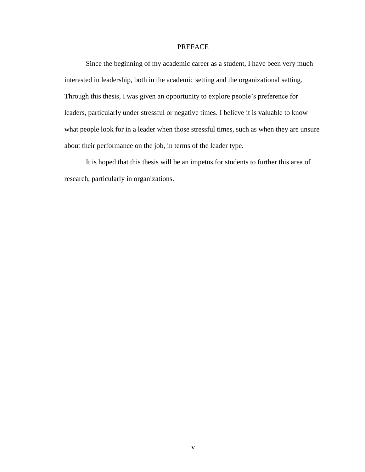### PREFACE

Since the beginning of my academic career as a student, I have been very much interested in leadership, both in the academic setting and the organizational setting. Through this thesis, I was given an opportunity to explore people's preference for leaders, particularly under stressful or negative times. I believe it is valuable to know what people look for in a leader when those stressful times, such as when they are unsure about their performance on the job, in terms of the leader type.

It is hoped that this thesis will be an impetus for students to further this area of research, particularly in organizations.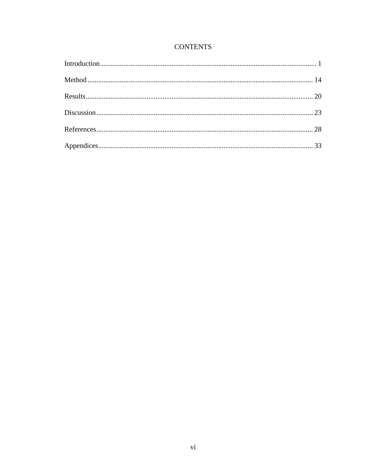# **CONTENTS**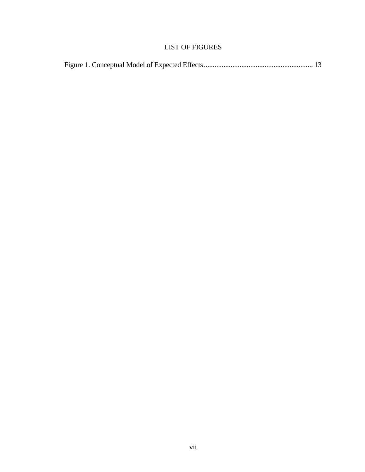# LIST OF FIGURES

|--|--|--|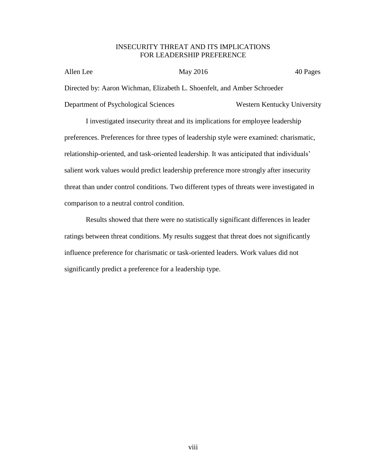### INSECURITY THREAT AND ITS IMPLICATIONS FOR LEADERSHIP PREFERENCE

| Allen Lee                            | May 2016                                                                | 40 Pages                    |
|--------------------------------------|-------------------------------------------------------------------------|-----------------------------|
|                                      | Directed by: Aaron Wichman, Elizabeth L. Shoenfelt, and Amber Schroeder |                             |
| Department of Psychological Sciences |                                                                         | Western Kentucky University |

I investigated insecurity threat and its implications for employee leadership preferences. Preferences for three types of leadership style were examined: charismatic, relationship-oriented, and task-oriented leadership. It was anticipated that individuals' salient work values would predict leadership preference more strongly after insecurity threat than under control conditions. Two different types of threats were investigated in comparison to a neutral control condition.

Results showed that there were no statistically significant differences in leader ratings between threat conditions. My results suggest that threat does not significantly influence preference for charismatic or task-oriented leaders. Work values did not significantly predict a preference for a leadership type.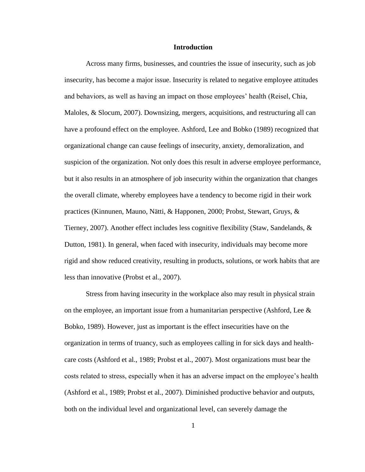#### **Introduction**

<span id="page-9-0"></span>Across many firms, businesses, and countries the issue of insecurity, such as job insecurity, has become a major issue. Insecurity is related to negative employee attitudes and behaviors, as well as having an impact on those employees' health (Reisel, Chia, Maloles, & Slocum, 2007). Downsizing, mergers, acquisitions, and restructuring all can have a profound effect on the employee. Ashford, Lee and Bobko (1989) recognized that organizational change can cause feelings of insecurity, anxiety, demoralization, and suspicion of the organization. Not only does this result in adverse employee performance, but it also results in an atmosphere of job insecurity within the organization that changes the overall climate, whereby employees have a tendency to become rigid in their work practices (Kinnunen, Mauno, Nätti, & Happonen, 2000; Probst, Stewart, Gruys, & Tierney, 2007). Another effect includes less cognitive flexibility (Staw, Sandelands,  $\&$ Dutton, 1981). In general, when faced with insecurity, individuals may become more rigid and show reduced creativity, resulting in products, solutions, or work habits that are less than innovative (Probst et al., 2007).

Stress from having insecurity in the workplace also may result in physical strain on the employee, an important issue from a humanitarian perspective (Ashford, Lee  $\&$ Bobko, 1989). However, just as important is the effect insecurities have on the organization in terms of truancy, such as employees calling in for sick days and healthcare costs (Ashford et al., 1989; Probst et al., 2007). Most organizations must bear the costs related to stress, especially when it has an adverse impact on the employee's health (Ashford et al., 1989; Probst et al., 2007). Diminished productive behavior and outputs, both on the individual level and organizational level, can severely damage the

1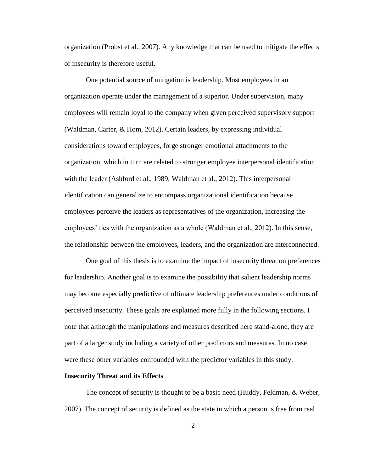organization (Probst et al., 2007). Any knowledge that can be used to mitigate the effects of insecurity is therefore useful.

One potential source of mitigation is leadership. Most employees in an organization operate under the management of a superior. Under supervision, many employees will remain loyal to the company when given perceived supervisory support (Waldman, Carter, & Hom, 2012). Certain leaders, by expressing individual considerations toward employees, forge stronger emotional attachments to the organization, which in turn are related to stronger employee interpersonal identification with the leader (Ashford et al., 1989; Waldman et al., 2012). This interpersonal identification can generalize to encompass organizational identification because employees perceive the leaders as representatives of the organization, increasing the employees' ties with the organization as a whole (Waldman et al., 2012). In this sense, the relationship between the employees, leaders, and the organization are interconnected.

One goal of this thesis is to examine the impact of insecurity threat on preferences for leadership. Another goal is to examine the possibility that salient leadership norms may become especially predictive of ultimate leadership preferences under conditions of perceived insecurity. These goals are explained more fully in the following sections. I note that although the manipulations and measures described here stand-alone, they are part of a larger study including a variety of other predictors and measures. In no case were these other variables confounded with the predictor variables in this study.

#### **Insecurity Threat and its Effects**

The concept of security is thought to be a basic need (Huddy, Feldman, & Weber, 2007). The concept of security is defined as the state in which a person is free from real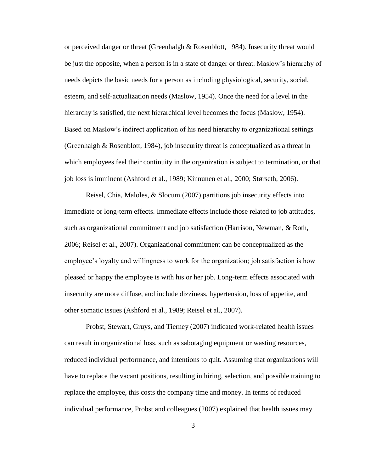or perceived danger or threat (Greenhalgh & Rosenblott, 1984). Insecurity threat would be just the opposite, when a person is in a state of danger or threat. Maslow's hierarchy of needs depicts the basic needs for a person as including physiological, security, social, esteem, and self-actualization needs (Maslow, 1954). Once the need for a level in the hierarchy is satisfied, the next hierarchical level becomes the focus (Maslow, 1954). Based on Maslow's indirect application of his need hierarchy to organizational settings (Greenhalgh & Rosenblott, 1984), job insecurity threat is conceptualized as a threat in which employees feel their continuity in the organization is subject to termination, or that job loss is imminent (Ashford et al., 1989; Kinnunen et al., 2000; Størseth, 2006).

Reisel, Chia, Maloles, & Slocum (2007) partitions job insecurity effects into immediate or long-term effects. Immediate effects include those related to job attitudes, such as organizational commitment and job satisfaction (Harrison, Newman, & Roth, 2006; Reisel et al., 2007). Organizational commitment can be conceptualized as the employee's loyalty and willingness to work for the organization; job satisfaction is how pleased or happy the employee is with his or her job. Long-term effects associated with insecurity are more diffuse, and include dizziness, hypertension, loss of appetite, and other somatic issues (Ashford et al., 1989; Reisel et al., 2007).

Probst, Stewart, Gruys, and Tierney (2007) indicated work-related health issues can result in organizational loss, such as sabotaging equipment or wasting resources, reduced individual performance, and intentions to quit. Assuming that organizations will have to replace the vacant positions, resulting in hiring, selection, and possible training to replace the employee, this costs the company time and money. In terms of reduced individual performance, Probst and colleagues (2007) explained that health issues may

3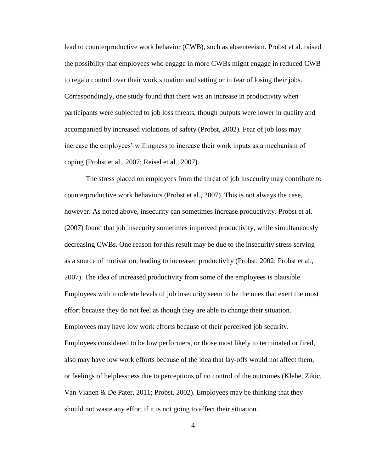lead to counterproductive work behavior (CWB), such as absenteeism. Probst et al. raised the possibility that employees who engage in more CWBs might engage in reduced CWB to regain control over their work situation and setting or in fear of losing their jobs. Correspondingly, one study found that there was an increase in productivity when participants were subjected to job loss threats, though outputs were lower in quality and accompanied by increased violations of safety (Probst, 2002). Fear of job loss may increase the employees' willingness to increase their work inputs as a mechanism of coping (Probst et al., 2007; Reisel et al., 2007).

The stress placed on employees from the threat of job insecurity may contribute to counterproductive work behaviors (Probst et al., 2007). This is not always the case, however. As noted above, insecurity can sometimes increase productivity. Probst et al. (2007) found that job insecurity sometimes improved productivity, while simultaneously decreasing CWBs. One reason for this result may be due to the insecurity stress serving as a source of motivation, leading to increased productivity (Probst, 2002; Probst et al., 2007). The idea of increased productivity from some of the employees is plausible. Employees with moderate levels of job insecurity seem to be the ones that exert the most effort because they do not feel as though they are able to change their situation. Employees may have low work efforts because of their perceived job security. Employees considered to be low performers, or those most likely to terminated or fired, also may have low work efforts because of the idea that lay-offs would not affect them, or feelings of helplessness due to perceptions of no control of the outcomes (Klehe, Zikic, Van Vianen & De Pater, 2011; Probst, 2002). Employees may be thinking that they should not waste any effort if it is not going to affect their situation.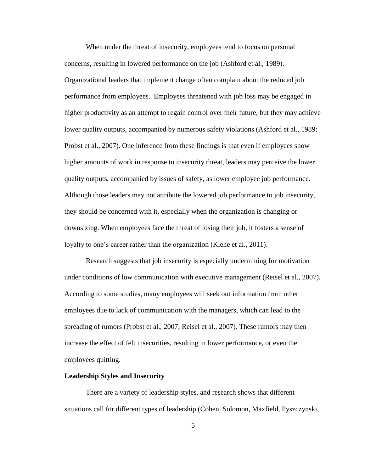When under the threat of insecurity, employees tend to focus on personal concerns, resulting in lowered performance on the job (Ashford et al., 1989). Organizational leaders that implement change often complain about the reduced job performance from employees. Employees threatened with job loss may be engaged in higher productivity as an attempt to regain control over their future, but they may achieve lower quality outputs, accompanied by numerous safety violations (Ashford et al., 1989; Probst et al., 2007). One inference from these findings is that even if employees show higher amounts of work in response to insecurity threat, leaders may perceive the lower quality outputs, accompanied by issues of safety, as lower employee job performance. Although those leaders may not attribute the lowered job performance to job insecurity, they should be concerned with it, especially when the organization is changing or downsizing. When employees face the threat of losing their job, it fosters a sense of loyalty to one's career rather than the organization (Klehe et al., 2011).

Research suggests that job insecurity is especially undermining for motivation under conditions of low communication with executive management (Reisel et al., 2007). According to some studies, many employees will seek out information from other employees due to lack of communication with the managers, which can lead to the spreading of rumors (Probst et al., 2007; Reisel et al., 2007). These rumors may then increase the effect of felt insecurities, resulting in lower performance, or even the employees quitting.

#### **Leadership Styles and Insecurity**

There are a variety of leadership styles, and research shows that different situations call for different types of leadership (Cohen, Solomon, Maxfield, Pyszczynski,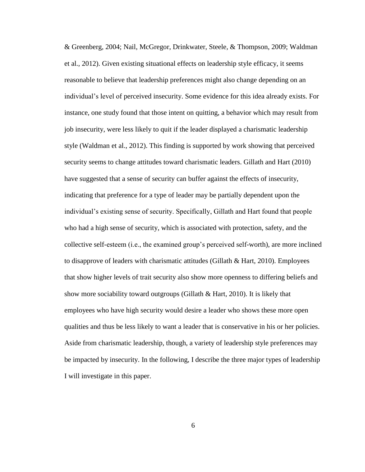& Greenberg, 2004; Nail, McGregor, Drinkwater, Steele, & Thompson, 2009; Waldman et al., 2012). Given existing situational effects on leadership style efficacy, it seems reasonable to believe that leadership preferences might also change depending on an individual's level of perceived insecurity. Some evidence for this idea already exists. For instance, one study found that those intent on quitting, a behavior which may result from job insecurity, were less likely to quit if the leader displayed a charismatic leadership style (Waldman et al., 2012). This finding is supported by work showing that perceived security seems to change attitudes toward charismatic leaders. Gillath and Hart (2010) have suggested that a sense of security can buffer against the effects of insecurity, indicating that preference for a type of leader may be partially dependent upon the individual's existing sense of security. Specifically, Gillath and Hart found that people who had a high sense of security, which is associated with protection, safety, and the collective self-esteem (i.e., the examined group's perceived self-worth), are more inclined to disapprove of leaders with charismatic attitudes (Gillath & Hart, 2010). Employees that show higher levels of trait security also show more openness to differing beliefs and show more sociability toward outgroups (Gillath & Hart, 2010). It is likely that employees who have high security would desire a leader who shows these more open qualities and thus be less likely to want a leader that is conservative in his or her policies. Aside from charismatic leadership, though, a variety of leadership style preferences may be impacted by insecurity. In the following, I describe the three major types of leadership I will investigate in this paper.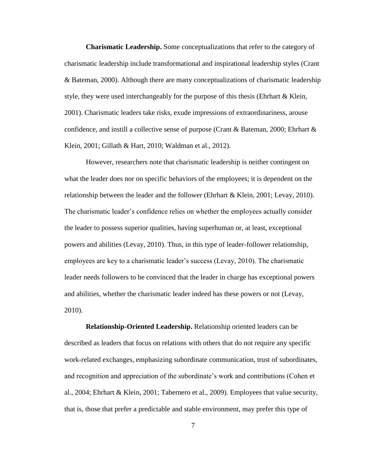**Charismatic Leadership.** Some conceptualizations that refer to the category of charismatic leadership include transformational and inspirational leadership styles (Crant & Bateman, 2000). Although there are many conceptualizations of charismatic leadership style, they were used interchangeably for the purpose of this thesis (Ehrhart & Klein, 2001). Charismatic leaders take risks, exude impressions of extraordinariness, arouse confidence, and instill a collective sense of purpose (Crant & Bateman, 2000; Ehrhart  $\&$ Klein, 2001; Gillath & Hart, 2010; Waldman et al., 2012).

However, researchers note that charismatic leadership is neither contingent on what the leader does nor on specific behaviors of the employees; it is dependent on the relationship between the leader and the follower (Ehrhart & Klein, 2001; Levay, 2010). The charismatic leader's confidence relies on whether the employees actually consider the leader to possess superior qualities, having superhuman or, at least, exceptional powers and abilities (Levay, 2010). Thus, in this type of leader-follower relationship, employees are key to a charismatic leader's success (Levay, 2010). The charismatic leader needs followers to be convinced that the leader in charge has exceptional powers and abilities, whether the charismatic leader indeed has these powers or not (Levay, 2010).

**Relationship-Oriented Leadership.** Relationship oriented leaders can be described as leaders that focus on relations with others that do not require any specific work-related exchanges, emphasizing subordinate communication, trust of subordinates, and recognition and appreciation of the subordinate's work and contributions (Cohen et al., 2004; Ehrhart & Klein, 2001; Tabernero et al., 2009). Employees that value security, that is, those that prefer a predictable and stable environment, may prefer this type of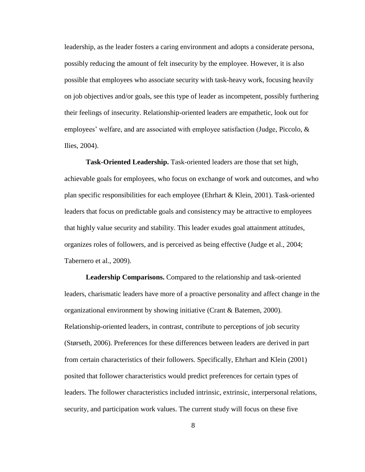leadership, as the leader fosters a caring environment and adopts a considerate persona, possibly reducing the amount of felt insecurity by the employee. However, it is also possible that employees who associate security with task-heavy work, focusing heavily on job objectives and/or goals, see this type of leader as incompetent, possibly furthering their feelings of insecurity. Relationship-oriented leaders are empathetic, look out for employees' welfare, and are associated with employee satisfaction (Judge, Piccolo, & Ilies, 2004).

**Task-Oriented Leadership.** Task-oriented leaders are those that set high, achievable goals for employees, who focus on exchange of work and outcomes, and who plan specific responsibilities for each employee (Ehrhart & Klein, 2001). Task-oriented leaders that focus on predictable goals and consistency may be attractive to employees that highly value security and stability. This leader exudes goal attainment attitudes, organizes roles of followers, and is perceived as being effective (Judge et al., 2004; Tabernero et al., 2009).

**Leadership Comparisons.** Compared to the relationship and task-oriented leaders, charismatic leaders have more of a proactive personality and affect change in the organizational environment by showing initiative (Crant & Batemen, 2000). Relationship-oriented leaders, in contrast, contribute to perceptions of job security (Størseth, 2006). Preferences for these differences between leaders are derived in part from certain characteristics of their followers. Specifically, Ehrhart and Klein (2001) posited that follower characteristics would predict preferences for certain types of leaders. The follower characteristics included intrinsic, extrinsic, interpersonal relations, security, and participation work values. The current study will focus on these five

8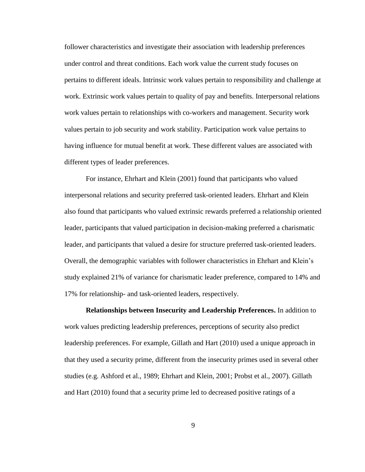follower characteristics and investigate their association with leadership preferences under control and threat conditions. Each work value the current study focuses on pertains to different ideals. Intrinsic work values pertain to responsibility and challenge at work. Extrinsic work values pertain to quality of pay and benefits. Interpersonal relations work values pertain to relationships with co-workers and management. Security work values pertain to job security and work stability. Participation work value pertains to having influence for mutual benefit at work. These different values are associated with different types of leader preferences.

For instance, Ehrhart and Klein (2001) found that participants who valued interpersonal relations and security preferred task-oriented leaders. Ehrhart and Klein also found that participants who valued extrinsic rewards preferred a relationship oriented leader, participants that valued participation in decision-making preferred a charismatic leader, and participants that valued a desire for structure preferred task-oriented leaders. Overall, the demographic variables with follower characteristics in Ehrhart and Klein's study explained 21% of variance for charismatic leader preference, compared to 14% and 17% for relationship- and task-oriented leaders, respectively.

**Relationships between Insecurity and Leadership Preferences.** In addition to work values predicting leadership preferences, perceptions of security also predict leadership preferences. For example, Gillath and Hart (2010) used a unique approach in that they used a security prime, different from the insecurity primes used in several other studies (e.g. Ashford et al., 1989; Ehrhart and Klein, 2001; Probst et al., 2007). Gillath and Hart (2010) found that a security prime led to decreased positive ratings of a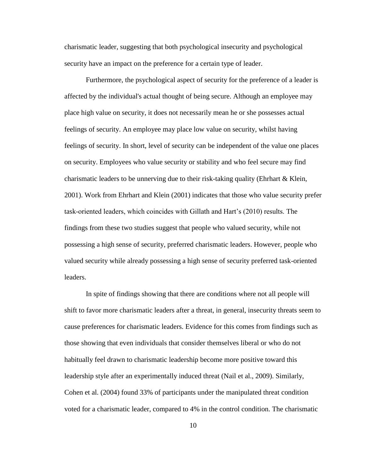charismatic leader, suggesting that both psychological insecurity and psychological security have an impact on the preference for a certain type of leader.

Furthermore, the psychological aspect of security for the preference of a leader is affected by the individual's actual thought of being secure. Although an employee may place high value on security, it does not necessarily mean he or she possesses actual feelings of security. An employee may place low value on security, whilst having feelings of security. In short, level of security can be independent of the value one places on security. Employees who value security or stability and who feel secure may find charismatic leaders to be unnerving due to their risk-taking quality (Ehrhart & Klein, 2001). Work from Ehrhart and Klein (2001) indicates that those who value security prefer task-oriented leaders, which coincides with Gillath and Hart's (2010) results. The findings from these two studies suggest that people who valued security, while not possessing a high sense of security, preferred charismatic leaders. However, people who valued security while already possessing a high sense of security preferred task-oriented leaders.

In spite of findings showing that there are conditions where not all people will shift to favor more charismatic leaders after a threat, in general, insecurity threats seem to cause preferences for charismatic leaders. Evidence for this comes from findings such as those showing that even individuals that consider themselves liberal or who do not habitually feel drawn to charismatic leadership become more positive toward this leadership style after an experimentally induced threat (Nail et al., 2009). Similarly, Cohen et al. (2004) found 33% of participants under the manipulated threat condition voted for a charismatic leader, compared to 4% in the control condition. The charismatic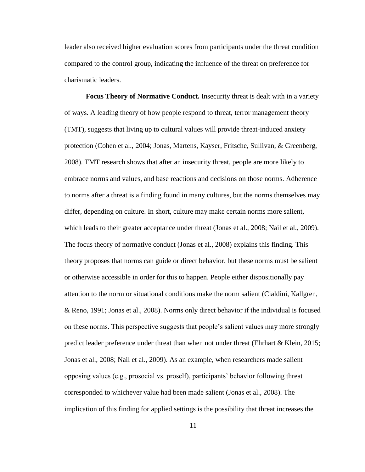leader also received higher evaluation scores from participants under the threat condition compared to the control group, indicating the influence of the threat on preference for charismatic leaders.

**Focus Theory of Normative Conduct.** Insecurity threat is dealt with in a variety of ways. A leading theory of how people respond to threat, terror management theory (TMT), suggests that living up to cultural values will provide threat-induced anxiety protection (Cohen et al., 2004; Jonas, Martens, Kayser, Fritsche, Sullivan, & Greenberg, 2008). TMT research shows that after an insecurity threat, people are more likely to embrace norms and values, and base reactions and decisions on those norms. Adherence to norms after a threat is a finding found in many cultures, but the norms themselves may differ, depending on culture. In short, culture may make certain norms more salient, which leads to their greater acceptance under threat (Jonas et al., 2008; Nail et al., 2009). The focus theory of normative conduct (Jonas et al., 2008) explains this finding. This theory proposes that norms can guide or direct behavior, but these norms must be salient or otherwise accessible in order for this to happen. People either dispositionally pay attention to the norm or situational conditions make the norm salient (Cialdini, Kallgren, & Reno, 1991; Jonas et al., 2008). Norms only direct behavior if the individual is focused on these norms. This perspective suggests that people's salient values may more strongly predict leader preference under threat than when not under threat (Ehrhart & Klein, 2015; Jonas et al., 2008; Nail et al., 2009). As an example, when researchers made salient opposing values (e.g., prosocial vs. proself), participants' behavior following threat corresponded to whichever value had been made salient (Jonas et al., 2008). The implication of this finding for applied settings is the possibility that threat increases the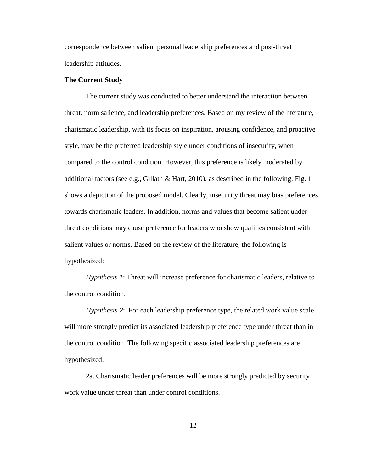correspondence between salient personal leadership preferences and post-threat leadership attitudes.

#### **The Current Study**

The current study was conducted to better understand the interaction between threat, norm salience, and leadership preferences. Based on my review of the literature, charismatic leadership, with its focus on inspiration, arousing confidence, and proactive style, may be the preferred leadership style under conditions of insecurity, when compared to the control condition. However, this preference is likely moderated by additional factors (see e.g., Gillath & Hart, 2010), as described in the following. Fig. 1 shows a depiction of the proposed model. Clearly, insecurity threat may bias preferences towards charismatic leaders. In addition, norms and values that become salient under threat conditions may cause preference for leaders who show qualities consistent with salient values or norms. Based on the review of the literature, the following is hypothesized:

*Hypothesis 1*: Threat will increase preference for charismatic leaders, relative to the control condition.

*Hypothesis 2*: For each leadership preference type, the related work value scale will more strongly predict its associated leadership preference type under threat than in the control condition. The following specific associated leadership preferences are hypothesized.

2a. Charismatic leader preferences will be more strongly predicted by security work value under threat than under control conditions.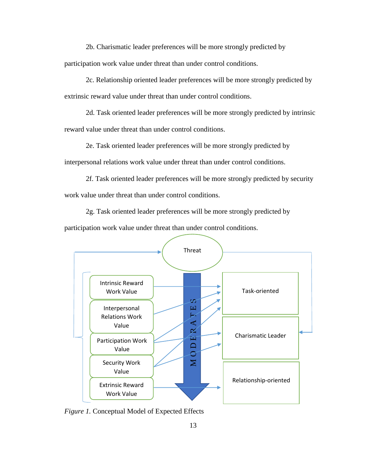2b. Charismatic leader preferences will be more strongly predicted by participation work value under threat than under control conditions.

2c. Relationship oriented leader preferences will be more strongly predicted by extrinsic reward value under threat than under control conditions.

2d. Task oriented leader preferences will be more strongly predicted by intrinsic reward value under threat than under control conditions.

2e. Task oriented leader preferences will be more strongly predicted by interpersonal relations work value under threat than under control conditions.

2f. Task oriented leader preferences will be more strongly predicted by security

work value under threat than under control conditions.

2g. Task oriented leader preferences will be more strongly predicted by

participation work value under threat than under control conditions.



<span id="page-21-0"></span>*Figure 1.* Conceptual Model of Expected Effects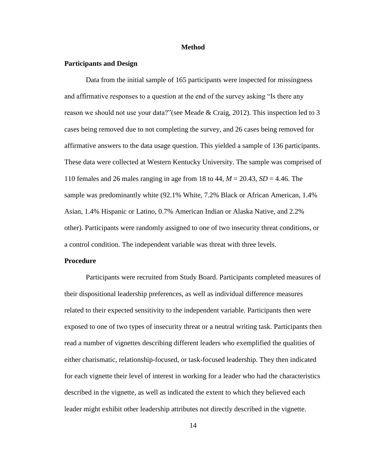#### **Method**

#### <span id="page-22-0"></span>**Participants and Design**

Data from the initial sample of 165 participants were inspected for missingness and affirmative responses to a question at the end of the survey asking "Is there any reason we should not use your data?"(see Meade & Craig, 2012). This inspection led to 3 cases being removed due to not completing the survey, and 26 cases being removed for affirmative answers to the data usage question. This yielded a sample of 136 participants. These data were collected at Western Kentucky University. The sample was comprised of 110 females and 26 males ranging in age from 18 to 44, *M* = 20.43, *SD* = 4.46. The sample was predominantly white (92.1% White, 7.2% Black or African American, 1.4% Asian, 1.4% Hispanic or Latino, 0.7% American Indian or Alaska Native, and 2.2% other). Participants were randomly assigned to one of two insecurity threat conditions, or a control condition. The independent variable was threat with three levels.

#### **Procedure**

Participants were recruited from Study Board. Participants completed measures of their dispositional leadership preferences, as well as individual difference measures related to their expected sensitivity to the independent variable. Participants then were exposed to one of two types of insecurity threat or a neutral writing task. Participants then read a number of vignettes describing different leaders who exemplified the qualities of either charismatic, relationship-focused, or task-focused leadership. They then indicated for each vignette their level of interest in working for a leader who had the characteristics described in the vignette, as well as indicated the extent to which they believed each leader might exhibit other leadership attributes not directly described in the vignette.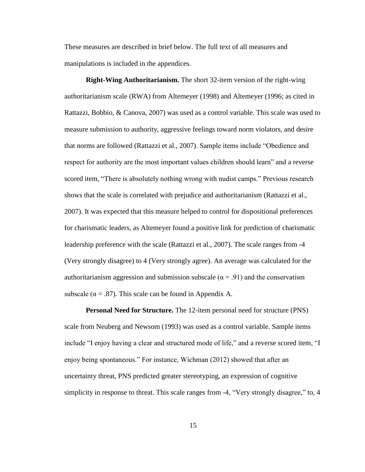These measures are described in brief below. The full text of all measures and manipulations is included in the appendices.

**Right-Wing Authoritarianism.** The short 32-item version of the right-wing authoritarianism scale (RWA) from Altemeyer (1998) and Altemeyer (1996; as cited in Rattazzi, Bobbio, & Canova, 2007) was used as a control variable. This scale was used to measure submission to authority, aggressive feelings toward norm violators, and desire that norms are followed (Rattazzi et al., 2007). Sample items include "Obedience and respect for authority are the most important values children should learn" and a reverse scored item, "There is absolutely nothing wrong with nudist camps." Previous research shows that the scale is correlated with prejudice and authoritarianism (Rattazzi et al., 2007). It was expected that this measure helped to control for dispositional preferences for charismatic leaders, as Altemeyer found a positive link for prediction of charismatic leadership preference with the scale (Rattazzi et al., 2007). The scale ranges from -4 (Very strongly disagree) to 4 (Very strongly agree). An average was calculated for the authoritarianism aggression and submission subscale ( $\alpha$  = .91) and the conservatism subscale ( $\alpha = .87$ ). This scale can be found in Appendix A.

**Personal Need for Structure.** The 12-item personal need for structure (PNS) scale from Neuberg and Newsom (1993) was used as a control variable. Sample items include "I enjoy having a clear and structured mode of life," and a reverse scored item, "I enjoy being spontaneous." For instance, Wichman (2012) showed that after an uncertainty threat, PNS predicted greater stereotyping, an expression of cognitive simplicity in response to threat. This scale ranges from -4, "Very strongly disagree," to, 4

15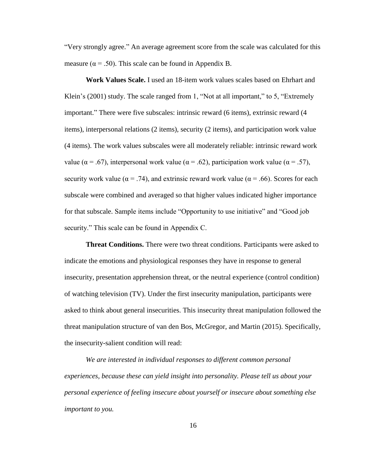"Very strongly agree." An average agreement score from the scale was calculated for this measure ( $\alpha$  = .50). This scale can be found in Appendix B.

**Work Values Scale.** I used an 18-item work values scales based on Ehrhart and Klein's (2001) study. The scale ranged from 1, "Not at all important," to 5, "Extremely important." There were five subscales: intrinsic reward (6 items), extrinsic reward (4 items), interpersonal relations (2 items), security (2 items), and participation work value (4 items). The work values subscales were all moderately reliable: intrinsic reward work value ( $\alpha$  = .67), interpersonal work value ( $\alpha$  = .62), participation work value ( $\alpha$  = .57), security work value ( $\alpha = .74$ ), and extrinsic reward work value ( $\alpha = .66$ ). Scores for each subscale were combined and averaged so that higher values indicated higher importance for that subscale. Sample items include "Opportunity to use initiative" and "Good job security." This scale can be found in Appendix C.

**Threat Conditions.** There were two threat conditions. Participants were asked to indicate the emotions and physiological responses they have in response to general insecurity, presentation apprehension threat, or the neutral experience (control condition) of watching television (TV). Under the first insecurity manipulation, participants were asked to think about general insecurities. This insecurity threat manipulation followed the threat manipulation structure of van den Bos, McGregor, and Martin (2015). Specifically, the insecurity-salient condition will read:

*We are interested in individual responses to different common personal experiences, because these can yield insight into personality. Please tell us about your personal experience of feeling insecure about yourself or insecure about something else important to you.*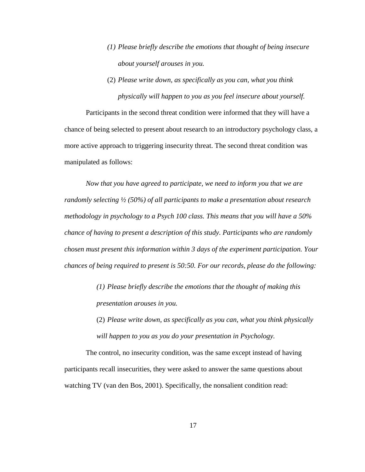- *(1) Please briefly describe the emotions that thought of being insecure about yourself arouses in you.*
- (2) *Please write down, as specifically as you can, what you think physically will happen to you as you feel insecure about yourself.*

Participants in the second threat condition were informed that they will have a chance of being selected to present about research to an introductory psychology class, a more active approach to triggering insecurity threat. The second threat condition was manipulated as follows:

*Now that you have agreed to participate, we need to inform you that we are randomly selecting ½ (50%) of all participants to make a presentation about research methodology in psychology to a Psych 100 class. This means that you will have a 50% chance of having to present a description of this study. Participants who are randomly chosen must present this information within 3 days of the experiment participation. Your chances of being required to present is 50:50. For our records, please do the following:*

- *(1) Please briefly describe the emotions that the thought of making this presentation arouses in you.*
- (2) *Please write down, as specifically as you can, what you think physically will happen to you as you do your presentation in Psychology.*

The control, no insecurity condition, was the same except instead of having participants recall insecurities, they were asked to answer the same questions about watching TV (van den Bos, 2001). Specifically, the nonsalient condition read: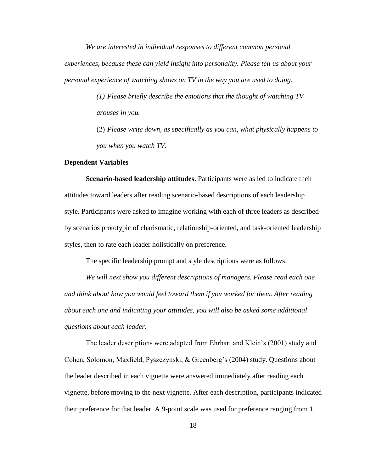*We are interested in individual responses to different common personal experiences, because these can yield insight into personality. Please tell us about your personal experience of watching shows on TV in the way you are used to doing.*

> *(1) Please briefly describe the emotions that the thought of watching TV arouses in you.*

(2) *Please write down, as specifically as you can, what physically happens to you when you watch TV.* 

#### **Dependent Variables**

**Scenario-based leadership attitudes**. Participants were as led to indicate their attitudes toward leaders after reading scenario-based descriptions of each leadership style. Participants were asked to imagine working with each of three leaders as described by scenarios prototypic of charismatic, relationship-oriented, and task-oriented leadership styles, then to rate each leader holistically on preference.

The specific leadership prompt and style descriptions were as follows:

*We will next show you different descriptions of managers. Please read each one and think about how you would feel toward them if you worked for them. After reading about each one and indicating your attitudes, you will also be asked some additional questions about each leader.*

The leader descriptions were adapted from Ehrhart and Klein's (2001) study and Cohen, Solomon, Maxfield, Pyszczynski, & Greenberg's (2004) study. Questions about the leader described in each vignette were answered immediately after reading each vignette, before moving to the next vignette. After each description, participants indicated their preference for that leader. A 9-point scale was used for preference ranging from 1,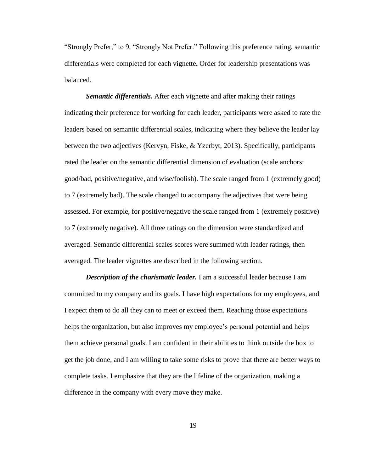"Strongly Prefer," to 9, "Strongly Not Prefer." Following this preference rating, semantic differentials were completed for each vignette**.** Order for leadership presentations was balanced.

*Semantic differentials.* After each vignette and after making their ratings indicating their preference for working for each leader, participants were asked to rate the leaders based on semantic differential scales, indicating where they believe the leader lay between the two adjectives (Kervyn, Fiske, & Yzerbyt, 2013). Specifically, participants rated the leader on the semantic differential dimension of evaluation (scale anchors: good/bad, positive/negative, and wise/foolish). The scale ranged from 1 (extremely good) to 7 (extremely bad). The scale changed to accompany the adjectives that were being assessed. For example, for positive/negative the scale ranged from 1 (extremely positive) to 7 (extremely negative). All three ratings on the dimension were standardized and averaged. Semantic differential scales scores were summed with leader ratings, then averaged. The leader vignettes are described in the following section.

*Description of the charismatic leader.* I am a successful leader because I am committed to my company and its goals. I have high expectations for my employees, and I expect them to do all they can to meet or exceed them. Reaching those expectations helps the organization, but also improves my employee's personal potential and helps them achieve personal goals. I am confident in their abilities to think outside the box to get the job done, and I am willing to take some risks to prove that there are better ways to complete tasks. I emphasize that they are the lifeline of the organization, making a difference in the company with every move they make.

19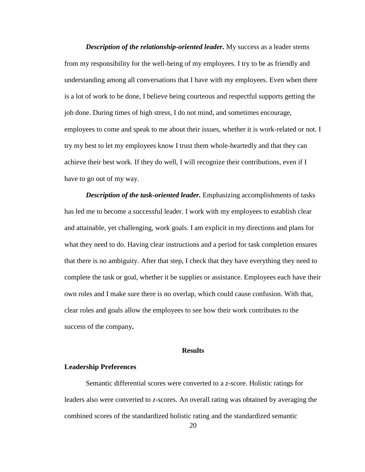*Description of the relationship-oriented leader.* My success as a leader stems from my responsibility for the well-being of my employees. I try to be as friendly and understanding among all conversations that I have with my employees. Even when there is a lot of work to be done, I believe being courteous and respectful supports getting the job done. During times of high stress, I do not mind, and sometimes encourage, employees to come and speak to me about their issues, whether it is work-related or not. I try my best to let my employees know I trust them whole-heartedly and that they can achieve their best work. If they do well, I will recognize their contributions, even if I have to go out of my way.

*Description of the task-oriented leader.* Emphasizing accomplishments of tasks has led me to become a successful leader. I work with my employees to establish clear and attainable, yet challenging, work goals. I am explicit in my directions and plans for what they need to do. Having clear instructions and a period for task completion ensures that there is no ambiguity. After that step, I check that they have everything they need to complete the task or goal, whether it be supplies or assistance. Employees each have their own roles and I make sure there is no overlap, which could cause confusion. With that, clear roles and goals allow the employees to see how their work contributes to the success of the company**.** 

#### **Results**

#### <span id="page-28-0"></span>**Leadership Preferences**

Semantic differential scores were converted to a *z*-score. Holistic ratings for leaders also were converted to *z*-scores. An overall rating was obtained by averaging the combined scores of the standardized holistic rating and the standardized semantic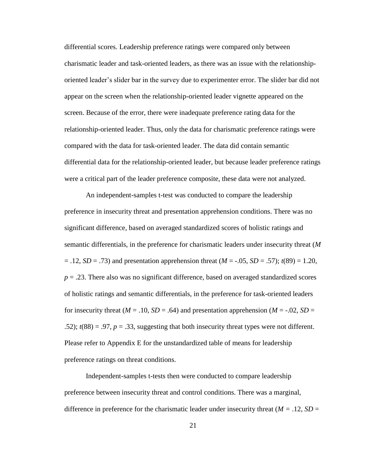differential scores. Leadership preference ratings were compared only between charismatic leader and task-oriented leaders, as there was an issue with the relationshiporiented leader's slider bar in the survey due to experimenter error. The slider bar did not appear on the screen when the relationship-oriented leader vignette appeared on the screen. Because of the error, there were inadequate preference rating data for the relationship-oriented leader. Thus, only the data for charismatic preference ratings were compared with the data for task-oriented leader. The data did contain semantic differential data for the relationship-oriented leader, but because leader preference ratings were a critical part of the leader preference composite, these data were not analyzed.

An independent-samples t-test was conducted to compare the leadership preference in insecurity threat and presentation apprehension conditions. There was no significant difference, based on averaged standardized scores of holistic ratings and semantic differentials, in the preference for charismatic leaders under insecurity threat (*M*  $= .12, SD = .73$ ) and presentation apprehension threat  $(M = -.05, SD = .57)$ ;  $t(89) = 1.20$ ,  $p = 0.23$ . There also was no significant difference, based on averaged standardized scores of holistic ratings and semantic differentials, in the preference for task-oriented leaders for insecurity threat ( $M = .10$ ,  $SD = .64$ ) and presentation apprehension ( $M = .02$ ,  $SD =$ .52);  $t(88) = .97$ ,  $p = .33$ , suggesting that both insecurity threat types were not different. Please refer to Appendix E for the unstandardized table of means for leadership preference ratings on threat conditions.

Independent-samples t-tests then were conducted to compare leadership preference between insecurity threat and control conditions. There was a marginal, difference in preference for the charismatic leader under insecurity threat  $(M = .12, SD =$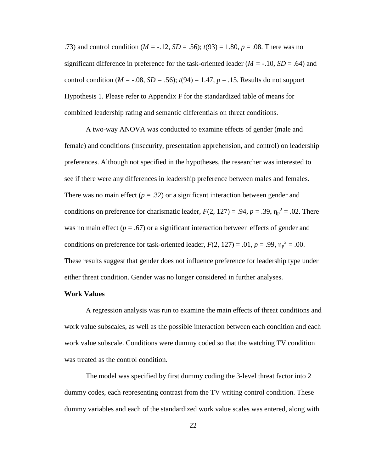.73) and control condition (*M =* -.12, *SD* = .56); *t*(93) = 1.80, *p* = .08. There was no significant difference in preference for the task-oriented leader (*M =* -.10, *SD* = .64) and control condition ( $M = -.08$ ,  $SD = .56$ );  $t(94) = 1.47$ ,  $p = .15$ . Results do not support Hypothesis 1. Please refer to Appendix F for the standardized table of means for combined leadership rating and semantic differentials on threat conditions.

A two-way ANOVA was conducted to examine effects of gender (male and female) and conditions (insecurity, presentation apprehension, and control) on leadership preferences. Although not specified in the hypotheses, the researcher was interested to see if there were any differences in leadership preference between males and females. There was no main effect  $(p = .32)$  or a significant interaction between gender and conditions on preference for charismatic leader,  $F(2, 127) = .94$ ,  $p = .39$ ,  $\eta_p^2 = .02$ . There was no main effect  $(p = .67)$  or a significant interaction between effects of gender and conditions on preference for task-oriented leader,  $F(2, 127) = .01$ ,  $p = .99$ ,  $\eta_p^2 = .00$ . These results suggest that gender does not influence preference for leadership type under either threat condition. Gender was no longer considered in further analyses.

#### **Work Values**

A regression analysis was run to examine the main effects of threat conditions and work value subscales, as well as the possible interaction between each condition and each work value subscale. Conditions were dummy coded so that the watching TV condition was treated as the control condition.

The model was specified by first dummy coding the 3-level threat factor into 2 dummy codes, each representing contrast from the TV writing control condition. These dummy variables and each of the standardized work value scales was entered, along with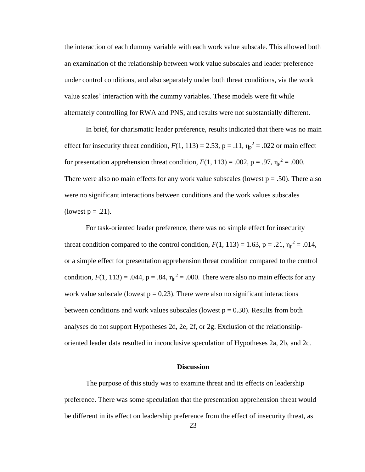the interaction of each dummy variable with each work value subscale. This allowed both an examination of the relationship between work value subscales and leader preference under control conditions, and also separately under both threat conditions, via the work value scales' interaction with the dummy variables. These models were fit while alternately controlling for RWA and PNS, and results were not substantially different.

In brief, for charismatic leader preference, results indicated that there was no main effect for insecurity threat condition,  $F(1, 113) = 2.53$ ,  $p = .11$ ,  $\eta_p^2 = .022$  or main effect for presentation apprehension threat condition,  $F(1, 113) = .002$ ,  $p = .97$ ,  $\eta_p^2 = .000$ . There were also no main effects for any work value subscales (lowest  $p = .50$ ). There also were no significant interactions between conditions and the work values subscales (lowest  $p = .21$ ).

For task-oriented leader preference, there was no simple effect for insecurity threat condition compared to the control condition,  $F(1, 113) = 1.63$ ,  $p = .21$ ,  $\eta_p^2 = .014$ , or a simple effect for presentation apprehension threat condition compared to the control condition,  $F(1, 113) = .044$ ,  $p = .84$ ,  $\eta_p^2 = .000$ . There were also no main effects for any work value subscale (lowest  $p = 0.23$ ). There were also no significant interactions between conditions and work values subscales (lowest  $p = 0.30$ ). Results from both analyses do not support Hypotheses 2d, 2e, 2f, or 2g. Exclusion of the relationshiporiented leader data resulted in inconclusive speculation of Hypotheses 2a, 2b, and 2c.

#### **Discussion**

<span id="page-31-0"></span>The purpose of this study was to examine threat and its effects on leadership preference. There was some speculation that the presentation apprehension threat would be different in its effect on leadership preference from the effect of insecurity threat, as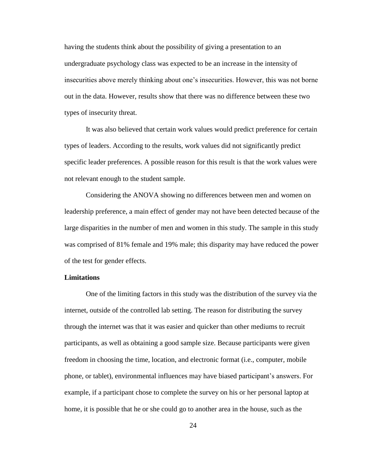having the students think about the possibility of giving a presentation to an undergraduate psychology class was expected to be an increase in the intensity of insecurities above merely thinking about one's insecurities. However, this was not borne out in the data. However, results show that there was no difference between these two types of insecurity threat.

It was also believed that certain work values would predict preference for certain types of leaders. According to the results, work values did not significantly predict specific leader preferences. A possible reason for this result is that the work values were not relevant enough to the student sample.

Considering the ANOVA showing no differences between men and women on leadership preference, a main effect of gender may not have been detected because of the large disparities in the number of men and women in this study. The sample in this study was comprised of 81% female and 19% male; this disparity may have reduced the power of the test for gender effects.

#### **Limitations**

One of the limiting factors in this study was the distribution of the survey via the internet, outside of the controlled lab setting. The reason for distributing the survey through the internet was that it was easier and quicker than other mediums to recruit participants, as well as obtaining a good sample size. Because participants were given freedom in choosing the time, location, and electronic format (i.e., computer, mobile phone, or tablet), environmental influences may have biased participant's answers. For example, if a participant chose to complete the survey on his or her personal laptop at home, it is possible that he or she could go to another area in the house, such as the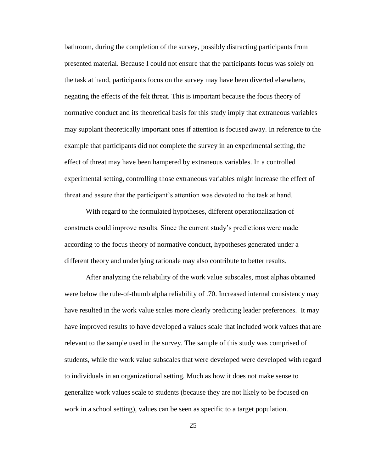bathroom, during the completion of the survey, possibly distracting participants from presented material. Because I could not ensure that the participants focus was solely on the task at hand, participants focus on the survey may have been diverted elsewhere, negating the effects of the felt threat. This is important because the focus theory of normative conduct and its theoretical basis for this study imply that extraneous variables may supplant theoretically important ones if attention is focused away. In reference to the example that participants did not complete the survey in an experimental setting, the effect of threat may have been hampered by extraneous variables. In a controlled experimental setting, controlling those extraneous variables might increase the effect of threat and assure that the participant's attention was devoted to the task at hand.

With regard to the formulated hypotheses, different operationalization of constructs could improve results. Since the current study's predictions were made according to the focus theory of normative conduct, hypotheses generated under a different theory and underlying rationale may also contribute to better results.

After analyzing the reliability of the work value subscales, most alphas obtained were below the rule-of-thumb alpha reliability of .70. Increased internal consistency may have resulted in the work value scales more clearly predicting leader preferences. It may have improved results to have developed a values scale that included work values that are relevant to the sample used in the survey. The sample of this study was comprised of students, while the work value subscales that were developed were developed with regard to individuals in an organizational setting. Much as how it does not make sense to generalize work values scale to students (because they are not likely to be focused on work in a school setting), values can be seen as specific to a target population.

25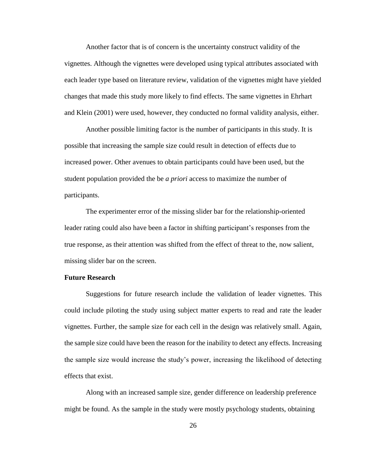Another factor that is of concern is the uncertainty construct validity of the vignettes. Although the vignettes were developed using typical attributes associated with each leader type based on literature review, validation of the vignettes might have yielded changes that made this study more likely to find effects. The same vignettes in Ehrhart and Klein (2001) were used, however, they conducted no formal validity analysis, either.

Another possible limiting factor is the number of participants in this study. It is possible that increasing the sample size could result in detection of effects due to increased power. Other avenues to obtain participants could have been used, but the student population provided the be *a priori* access to maximize the number of participants.

The experimenter error of the missing slider bar for the relationship-oriented leader rating could also have been a factor in shifting participant's responses from the true response, as their attention was shifted from the effect of threat to the, now salient, missing slider bar on the screen.

#### **Future Research**

Suggestions for future research include the validation of leader vignettes. This could include piloting the study using subject matter experts to read and rate the leader vignettes. Further, the sample size for each cell in the design was relatively small. Again, the sample size could have been the reason for the inability to detect any effects. Increasing the sample size would increase the study's power, increasing the likelihood of detecting effects that exist.

Along with an increased sample size, gender difference on leadership preference might be found. As the sample in the study were mostly psychology students, obtaining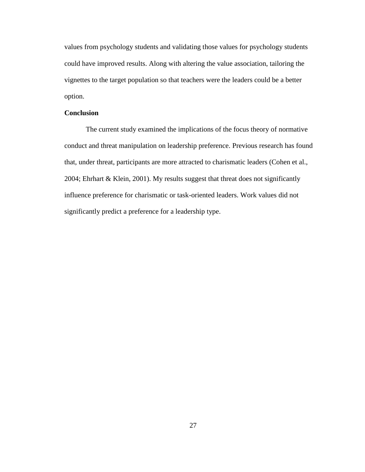values from psychology students and validating those values for psychology students could have improved results. Along with altering the value association, tailoring the vignettes to the target population so that teachers were the leaders could be a better option.

#### **Conclusion**

The current study examined the implications of the focus theory of normative conduct and threat manipulation on leadership preference. Previous research has found that, under threat, participants are more attracted to charismatic leaders (Cohen et al., 2004; Ehrhart & Klein, 2001). My results suggest that threat does not significantly influence preference for charismatic or task-oriented leaders. Work values did not significantly predict a preference for a leadership type.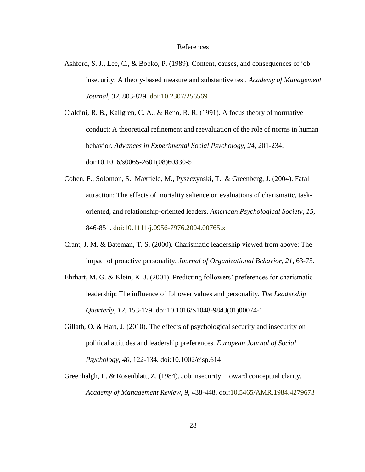#### References

<span id="page-36-0"></span>Ashford, S. J., Lee, C., & Bobko, P. (1989). Content, causes, and consequences of job insecurity: A theory-based measure and substantive test. *Academy of Management Journal, 32*, 803-829. doi:10.2307/256569

Cialdini, R. B., Kallgren, C. A., & Reno, R. R. (1991). A focus theory of normative conduct: A theoretical refinement and reevaluation of the role of norms in human behavior. *Advances in Experimental Social Psychology, 24*, 201-234. doi:10.1016/s0065-2601(08)60330-5

- Cohen, F., Solomon, S., Maxfield, M., Pyszczynski, T., & Greenberg, J. (2004). Fatal attraction: The effects of mortality salience on evaluations of charismatic, taskoriented, and relationship-oriented leaders. *American Psychological Society, 15,* 846-851. doi:10.1111/j.0956-7976.2004.00765.x
- Crant, J. M. & Bateman, T. S. (2000). Charismatic leadership viewed from above: The impact of proactive personality. *Journal of Organizational Behavior, 21*, 63-75.
- Ehrhart, M. G. & Klein, K. J. (2001). Predicting followers' preferences for charismatic leadership: The influence of follower values and personality. *The Leadership Quarterly, 12,* 153-179. doi:10.1016/S1048-9843(01)00074-1
- Gillath, O. & Hart, J. (2010). The effects of psychological security and insecurity on political attitudes and leadership preferences. *European Journal of Social Psychology, 40,* 122-134. doi:10.1002/ejsp.614
- Greenhalgh, L. & Rosenblatt, Z. (1984). Job insecurity: Toward conceptual clarity. *Academy of Management Review, 9,* 438-448. doi:10.5465/AMR.1984.4279673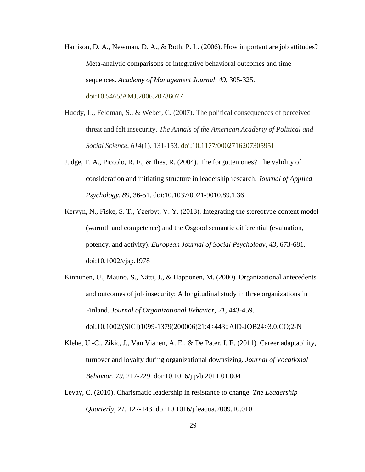- Harrison, D. A., Newman, D. A., & Roth, P. L. (2006). How important are job attitudes? Meta-analytic comparisons of integrative behavioral outcomes and time sequences. *Academy of Management Journal, 49,* 305-325. doi:10.5465/AMJ.2006.20786077
- Huddy, L., Feldman, S., & Weber, C. (2007). The political consequences of perceived threat and felt insecurity. *The Annals of the American Academy of Political and Social Science*, *614*(1), 131-153. doi:10.1177/0002716207305951
- Judge, T. A., Piccolo, R. F., & Ilies, R. (2004). The forgotten ones? The validity of consideration and initiating structure in leadership research. *Journal of Applied Psychology, 89,* 36-51. doi:10.1037/0021-9010.89.1.36
- Kervyn, N., Fiske, S. T., Yzerbyt, V. Y. (2013). Integrating the stereotype content model (warmth and competence) and the Osgood semantic differential (evaluation, potency, and activity). *European Journal of Social Psychology, 43*, 673-681. doi:10.1002/ejsp.1978
- Kinnunen, U., Mauno, S., Nätti, J., & Happonen, M. (2000). Organizational antecedents and outcomes of job insecurity: A longitudinal study in three organizations in Finland. *Journal of Organizational Behavior, 21*, 443-459. doi:10.1002/(SICI)1099-1379(200006)21:4<443::AID-JOB24>3.0.CO;2-N
- Klehe, U.-C., Zikic, J., Van Vianen, A. E., & De Pater, I. E. (2011). Career adaptability, turnover and loyalty during organizational downsizing. *Journal of Vocational Behavior, 79,* 217-229. doi:10.1016/j.jvb.2011.01.004
- Levay, C. (2010). Charismatic leadership in resistance to change. *The Leadership Quarterly, 21,* 127-143. doi:10.1016/j.leaqua.2009.10.010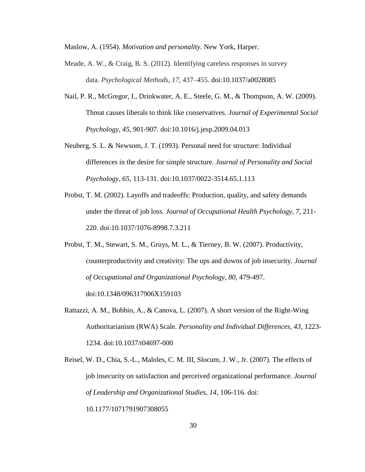Maslow, A. (1954). *Motivation and personality.* New York, Harper.

- Meade, A. W., & Craig, B. S. (2012). Identifying careless responses in survey data. *Psychological Methods*, *17*, 437–455. doi:10.1037/a0028085
- Nail, P. R., McGregor, I., Drinkwater, A. E., Steele, G. M., & Thompson, A. W. (2009). Threat causes liberals to think like conservatives. *Journal of Experimental Social Psychology, 45,* 901-907. doi:10.1016/j.jesp.2009.04.013
- Neuberg, S. L. & Newsom, J. T. (1993). Personal need for structure: Individual differences in the desire for simple structure. *Journal of Personality and Social Psychology, 65*, 113-131. doi:10.1037/0022-3514.65.1.113
- Probst, T. M. (2002). Layoffs and tradeoffs: Production, quality, and safety demands under the threat of job loss. *Journal of Occupational Health Psychology, 7,* 211- 220. doi:10.1037/1076-8998.7.3.211
- Probst, T. M., Stewart, S. M., Gruys, M. L., & Tierney, B. W. (2007). Productivity, counterproductivity and creativity: The ups and downs of job insecurity. *Journal of Occupational and Organizational Psychology, 80*, 479-497. doi:10.1348/096317906X159103
- Rattazzi, A. M., Bobbio, A., & Canova, L. (2007). A short version of the Right-Wing Authoritarianism (RWA) Scale. *Personality and Individual Differences, 43*, 1223- 1234. doi:10.1037/t04697-000

Reisel, W. D., Chia, S.-L., Maloles, C. M. III, Slocum, J. W., Jr. (2007). The effects of job insecurity on satisfaction and perceived organizational performance. *Journal of Leadership and Organizational Studies, 14*, 106-116. doi: 10.1177/1071791907308055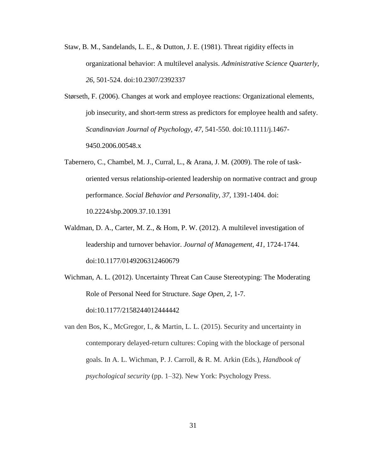- Staw, B. M., Sandelands, L. E., & Dutton, J. E. (1981). Threat rigidity effects in organizational behavior: A multilevel analysis. *Administrative Science Quarterly, 26,* 501-524. doi:10.2307/2392337
- Størseth, F. (2006). Changes at work and employee reactions: Organizational elements, job insecurity, and short-term stress as predictors for employee health and safety. *Scandinavian Journal of Psychology, 47*, 541-550. doi:10.1111/j.1467- 9450.2006.00548.x
- Tabernero, C., Chambel, M. J., Curral, L., & Arana, J. M. (2009). The role of taskoriented versus relationship-oriented leadership on normative contract and group performance. *Social Behavior and Personality, 37,* 1391-1404. doi: 10.2224/sbp.2009.37.10.1391
- Waldman, D. A., Carter, M. Z., & Hom, P. W. (2012). A multilevel investigation of leadership and turnover behavior. *Journal of Management, 41*, 1724-1744. doi:10.1177/0149206312460679
- Wichman, A. L. (2012). Uncertainty Threat Can Cause Stereotyping: The Moderating Role of Personal Need for Structure. *Sage Open, 2*, 1-7. doi:10.1177/2158244012444442
- van den Bos, K., McGregor, I., & Martin, L. L. (2015). Security and uncertainty in contemporary delayed-return cultures: Coping with the blockage of personal goals. In A. L. Wichman, P. J. Carroll, & R. M. Arkin (Eds.), *Handbook of psychological security* (pp. 1–32). New York: Psychology Press.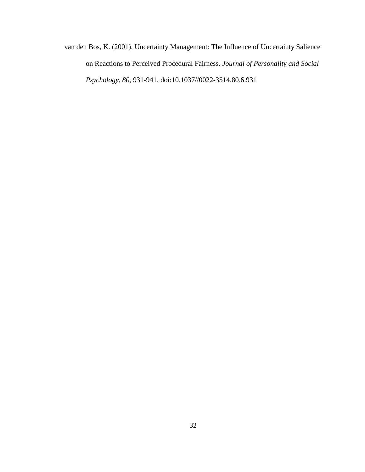van den Bos, K. (2001). Uncertainty Management: The Influence of Uncertainty Salience on Reactions to Perceived Procedural Fairness. *Journal of Personality and Social Psychology, 80*, 931-941. doi:10.1037//0022-3514.80.6.931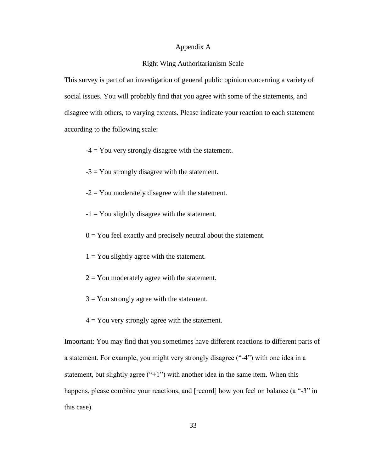#### Appendix A

#### Right Wing Authoritarianism Scale

<span id="page-41-0"></span>This survey is part of an investigation of general public opinion concerning a variety of social issues. You will probably find that you agree with some of the statements, and disagree with others, to varying extents. Please indicate your reaction to each statement according to the following scale:

 $-4 =$  You very strongly disagree with the statement.

- $-3 =$  You strongly disagree with the statement.
- $-2 =$  You moderately disagree with the statement.
- $-1 =$  You slightly disagree with the statement.
- $0 = You$  feel exactly and precisely neutral about the statement.
- $1 = You$  slightly agree with the statement.
- $2 =$  You moderately agree with the statement.
- $3 =$ You strongly agree with the statement.
- $4 = You$  very strongly agree with the statement.

Important: You may find that you sometimes have different reactions to different parts of a statement. For example, you might very strongly disagree ("-4") with one idea in a statement, but slightly agree  $("+1")$  with another idea in the same item. When this happens, please combine your reactions, and [record] how you feel on balance (a "-3" in this case).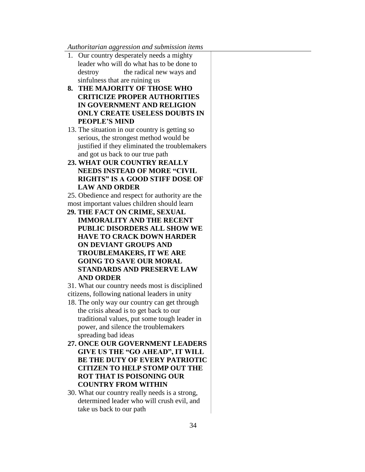#### *Authoritarian aggression and submission items*

- 1. Our country desperately needs a mighty leader who will do what has to be done to destroy the radical new ways and sinfulness that are ruining us
- **8. THE MAJORITY OF THOSE WHO CRITICIZE PROPER AUTHORITIES IN GOVERNMENT AND RELIGION ONLY CREATE USELESS DOUBTS IN PEOPLE'S MIND**
- 13. The situation in our country is getting so serious, the strongest method would be justified if they eliminated the troublemakers and got us back to our true path
- **23. WHAT OUR COUNTRY REALLY NEEDS INSTEAD OF MORE "CIVIL RIGHTS" IS A GOOD STIFF DOSE OF LAW AND ORDER**
- 25. Obedience and respect for authority are the most important values children should learn
- **29. THE FACT ON CRIME, SEXUAL IMMORALITY AND THE RECENT PUBLIC DISORDERS ALL SHOW WE HAVE TO CRACK DOWN HARDER ON DEVIANT GROUPS AND TROUBLEMAKERS, IT WE ARE GOING TO SAVE OUR MORAL STANDARDS AND PRESERVE LAW AND ORDER**

31. What our country needs most is disciplined citizens, following national leaders in unity

- 18. The only way our country can get through the crisis ahead is to get back to our traditional values, put some tough leader in power, and silence the troublemakers spreading bad ideas
- **27. ONCE OUR GOVERNMENT LEADERS GIVE US THE "GO AHEAD", IT WILL BE THE DUTY OF EVERY PATRIOTIC CITIZEN TO HELP STOMP OUT THE ROT THAT IS POISONING OUR COUNTRY FROM WITHIN**
- 30. What our country really needs is a strong, determined leader who will crush evil, and take us back to our path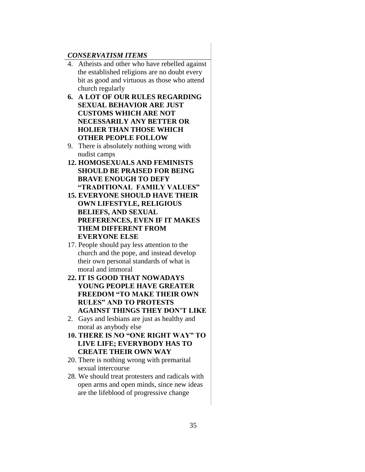#### *CONSERVATISM ITEMS*

- 4. Atheists and other who have rebelled against the established religions are no doubt every bit as good and virtuous as those who attend church regularly
- **6. A LOT OF OUR RULES REGARDING SEXUAL BEHAVIOR ARE JUST CUSTOMS WHICH ARE NOT NECESSARILY ANY BETTER OR HOLIER THAN THOSE WHICH OTHER PEOPLE FOLLOW**
- 9. There is absolutely nothing wrong with nudist camps
- **12. HOMOSEXUALS AND FEMINISTS SHOULD BE PRAISED FOR BEING BRAVE ENOUGH TO DEFY "TRADITIONAL FAMILY VALUES"**
- **15. EVERYONE SHOULD HAVE THEIR OWN LIFESTYLE, RELIGIOUS BELIEFS, AND SEXUAL PREFERENCES, EVEN IF IT MAKES THEM DIFFERENT FROM EVERYONE ELSE**
- 17. People should pay less attention to the church and the pope, and instead develop their own personal standards of what is moral and immoral
- **22. IT IS GOOD THAT NOWADAYS YOUNG PEOPLE HAVE GREATER FREEDOM "TO MAKE THEIR OWN RULES" AND TO PROTESTS AGAINST THINGS THEY DON'T LIKE**
- 2. Gays and lesbians are just as healthy and moral as anybody else
- **10. THERE IS NO "ONE RIGHT WAY" TO LIVE LIFE; EVERYBODY HAS TO CREATE THEIR OWN WAY**
- 20. There is nothing wrong with premarital sexual intercourse
- 28. We should treat protesters and radicals with open arms and open minds, since new ideas are the lifeblood of progressive change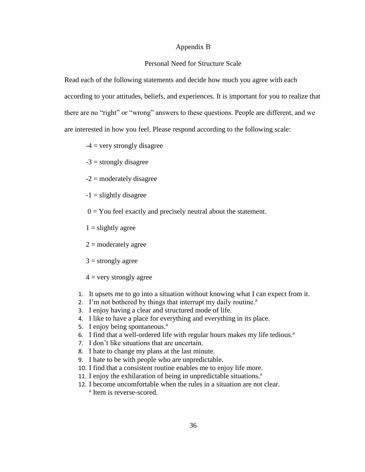#### Appendix B

#### Personal Need for Structure Scale

Read each of the following statements and decide how much you agree with each according to your attitudes, beliefs, and experiences. It is important for you to realize that there are no "right" or "wrong" answers to these questions. People are different, and we are interested in how you feel. Please respond according to the following scale:

 $-4$  = very strongly disagree

 $-3$  = strongly disagree

 $-2$  = moderately disagree

 $-1$  = slightly disagree

 $0 = You$  feel exactly and precisely neutral about the statement.

 $1 =$  slightly agree

 $2 =$  moderately agree

 $3 =$  strongly agree

 $4 =$  very strongly agree

- 1. It upsets me to go into a situation without knowing what I can expect from it.
- 2. I'm not bothered by things that interrupt my daily routine. $a$
- 3. I enjoy having a clear and structured mode of life.
- 4. I like to have a place for everything and everything in its place.
- 5. I enjoy being spontaneous.<sup>a</sup>
- 6. I find that a well-ordered life with regular hours makes my life tedious.<sup>a</sup>
- 7. I don't like situations that are uncertain.
- 8. I hate to change my plans at the last minute.
- 9. I hate to be with people who are unpredictable.
- 10. I find that a consistent routine enables me to enjoy life more.
- 11. I enjoy the exhilaration of being in unpredictable situations.<sup>a</sup>
- 12. I become uncomfortable when the rules in a situation are not clear. <sup>a</sup> Item is reverse-scored.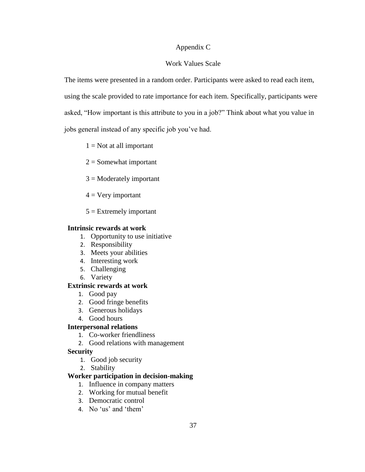# Appendix C

### Work Values Scale

The items were presented in a random order. Participants were asked to read each item, using the scale provided to rate importance for each item. Specifically, participants were asked, "How important is this attribute to you in a job?" Think about what you value in jobs general instead of any specific job you've had.

 $1 = Not$  at all important

- $2 =$  Somewhat important
- $3 =$ Moderately important
- $4 = V$ ery important
- $5 =$  Extremely important

### **Intrinsic rewards at work**

- 1. Opportunity to use initiative
- 2. Responsibility
- 3. Meets your abilities
- 4. Interesting work
- 5. Challenging
- 6. Variety

### **Extrinsic rewards at work**

- 1. Good pay
- 2. Good fringe benefits
- 3. Generous holidays
- 4. Good hours

# **Interpersonal relations**

- 1. Co-worker friendliness
- 2. Good relations with management

# **Security**

- 1. Good job security
- 2. Stability

# **Worker participation in decision-making**

- 1. Influence in company matters
- 2. Working for mutual benefit
- 3. Democratic control
- 4. No 'us' and 'them'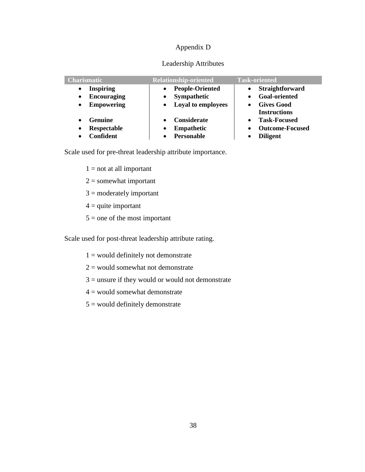# Appendix D

# Leadership Attributes

| <b>Charismatic</b>              | <b>Relationship-oriented</b> | <b>Task-oriented</b>             |
|---------------------------------|------------------------------|----------------------------------|
| <b>Inspiring</b><br>$\bullet$   | <b>People-Oriented</b>       | Straightforward<br>$\bullet$     |
| <b>Encouraging</b><br>$\bullet$ | Sympathetic                  | <b>Goal-oriented</b>             |
| <b>Empowering</b><br>$\bullet$  | <b>Loyal to employees</b>    | Gives Good                       |
|                                 |                              | <b>Instructions</b>              |
| <b>Genuine</b><br>$\bullet$     | <b>Considerate</b>           | <b>Task-Focused</b><br>$\bullet$ |
| Respectable<br>$\bullet$        | Empathetic                   | <b>Outcome-Focused</b>           |
| Confident                       | <b>Personable</b>            | <b>Diligent</b>                  |

Scale used for pre-threat leadership attribute importance.

 $1 = not at all important$ 

- $2 =$ somewhat important
- 3 = moderately important
- $4 =$  quite important
- $5 =$  one of the most important

Scale used for post-threat leadership attribute rating.

- $1 =$  would definitely not demonstrate
- $2 =$  would somewhat not demonstrate
- $3 =$  unsure if they would or would not demonstrate
- $4 =$  would somewhat demonstrate
- $5 =$  would definitely demonstrate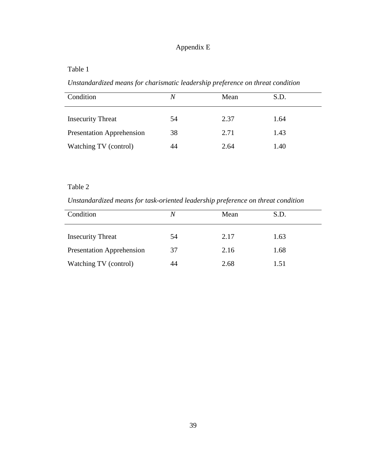# Appendix E

# Table 1

*Unstandardized means for charismatic leadership preference on threat condition*

| Condition                        | N  | Mean | S.D. |
|----------------------------------|----|------|------|
| <b>Insecurity Threat</b>         | 54 | 2.37 | 1.64 |
| <b>Presentation Apprehension</b> | 38 | 2.71 | 1.43 |
| Watching TV (control)            | 44 | 2.64 | 1.40 |

# Table 2

*Unstandardized means for task-oriented leadership preference on threat condition*

| Condition                        | N  | Mean | S.D. |
|----------------------------------|----|------|------|
| <b>Insecurity Threat</b>         | 54 | 2.17 | 1.63 |
| <b>Presentation Apprehension</b> | 37 | 2.16 | 1.68 |
| Watching TV (control)            | 44 | 2.68 | 1.51 |